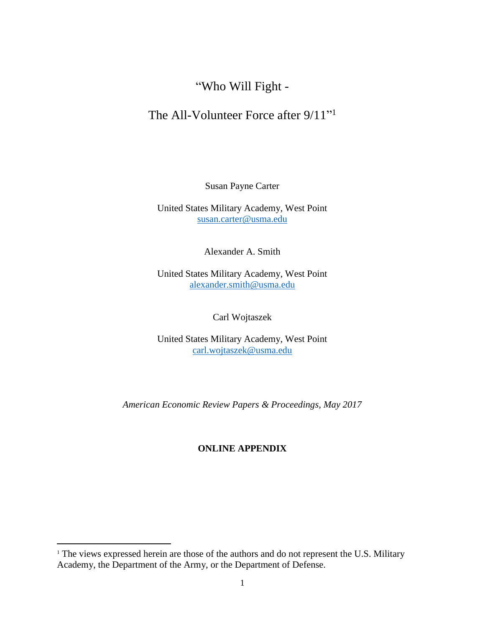# "Who Will Fight -

## The All-Volunteer Force after 9/11"<sup>1</sup>

Susan Payne Carter

United States Military Academy, West Point [susan.carter@usma.edu](mailto:susan.carter@usma.edu)

Alexander A. Smith

United States Military Academy, West Point [alexander.smith@usma.edu](mailto:alexander.smith@usma.edu)

Carl Wojtaszek

United States Military Academy, West Point [carl.wojtaszek@usma.edu](mailto:carl.wojtaszek@usma.edu)

*American Economic Review Papers & Proceedings, May 2017*

### **ONLINE APPENDIX**

 $\overline{\phantom{a}}$ 

<sup>&</sup>lt;sup>1</sup> The views expressed herein are those of the authors and do not represent the U.S. Military Academy, the Department of the Army, or the Department of Defense.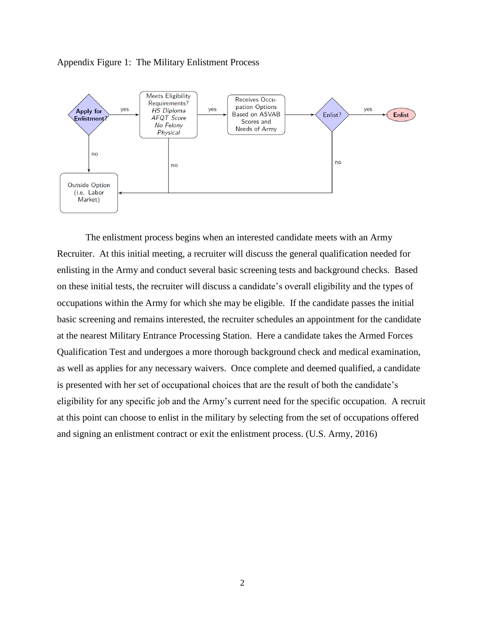



The enlistment process begins when an interested candidate meets with an Army Recruiter. At this initial meeting, a recruiter will discuss the general qualification needed for enlisting in the Army and conduct several basic screening tests and background checks. Based on these initial tests, the recruiter will discuss a candidate's overall eligibility and the types of occupations within the Army for which she may be eligible. If the candidate passes the initial basic screening and remains interested, the recruiter schedules an appointment for the candidate at the nearest Military Entrance Processing Station. Here a candidate takes the Armed Forces Qualification Test and undergoes a more thorough background check and medical examination, as well as applies for any necessary waivers. Once complete and deemed qualified, a candidate is presented with her set of occupational choices that are the result of both the candidate's eligibility for any specific job and the Army's current need for the specific occupation. A recruit at this point can choose to enlist in the military by selecting from the set of occupations offered and signing an enlistment contract or exit the enlistment process. (U.S. Army, 2016)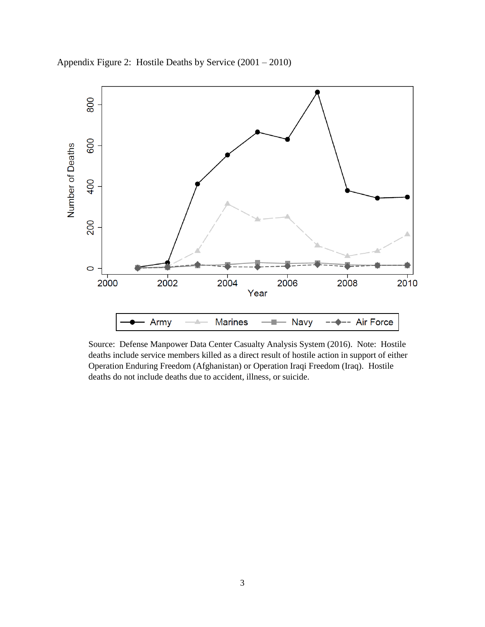

Appendix Figure 2: Hostile Deaths by Service (2001 – 2010)

Source: Defense Manpower Data Center Casualty Analysis System (2016). Note: Hostile deaths include service members killed as a direct result of hostile action in support of either Operation Enduring Freedom (Afghanistan) or Operation Iraqi Freedom (Iraq). Hostile deaths do not include deaths due to accident, illness, or suicide.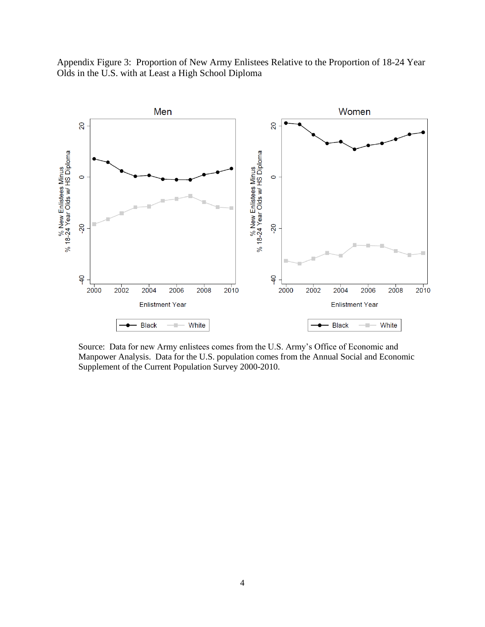



Source: Data for new Army enlistees comes from the U.S. Army's Office of Economic and Manpower Analysis. Data for the U.S. population comes from the Annual Social and Economic Supplement of the Current Population Survey 2000-2010.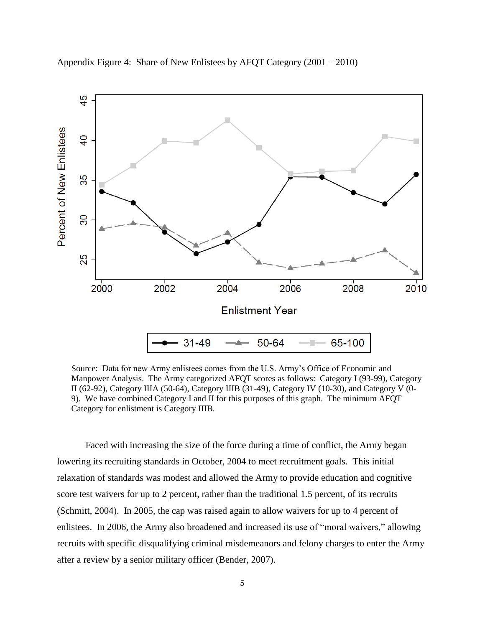

Appendix Figure 4: Share of New Enlistees by AFQT Category (2001 – 2010)

Source: Data for new Army enlistees comes from the U.S. Army's Office of Economic and Manpower Analysis. The Army categorized AFQT scores as follows: Category I (93-99), Category II (62-92), Category IIIA (50-64), Category IIIB (31-49), Category IV (10-30), and Category V (0- 9). We have combined Category I and II for this purposes of this graph. The minimum AFQT Category for enlistment is Category IIIB.

Faced with increasing the size of the force during a time of conflict, the Army began lowering its recruiting standards in October, 2004 to meet recruitment goals. This initial relaxation of standards was modest and allowed the Army to provide education and cognitive score test waivers for up to 2 percent, rather than the traditional 1.5 percent, of its recruits (Schmitt, 2004). In 2005, the cap was raised again to allow waivers for up to 4 percent of enlistees. In 2006, the Army also broadened and increased its use of "moral waivers," allowing recruits with specific disqualifying criminal misdemeanors and felony charges to enter the Army after a review by a senior military officer (Bender, 2007).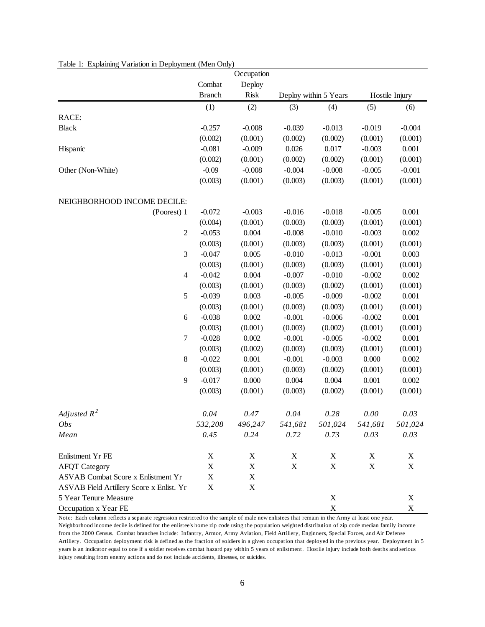|                                          |                           | Occupation  |                       |             |                |                           |
|------------------------------------------|---------------------------|-------------|-----------------------|-------------|----------------|---------------------------|
|                                          | Combat                    | Deploy      |                       |             |                |                           |
|                                          | <b>Branch</b>             | <b>Risk</b> | Deploy within 5 Years |             | Hostile Injury |                           |
|                                          | (1)                       | (2)         | (3)                   | (4)         | (5)            | (6)                       |
| RACE:                                    |                           |             |                       |             |                |                           |
| <b>Black</b>                             | $-0.257$                  | $-0.008$    | $-0.039$              | $-0.013$    | $-0.019$       | $-0.004$                  |
|                                          | (0.002)                   | (0.001)     | (0.002)               | (0.002)     | (0.001)        | (0.001)                   |
| Hispanic                                 | $-0.081$                  | $-0.009$    | 0.026                 | 0.017       | $-0.003$       | 0.001                     |
|                                          | (0.002)                   | (0.001)     | (0.002)               | (0.002)     | (0.001)        | (0.001)                   |
| Other (Non-White)                        | $-0.09$                   | $-0.008$    | $-0.004$              | $-0.008$    | $-0.005$       | $-0.001$                  |
|                                          | (0.003)                   | (0.001)     | (0.003)               | (0.003)     | (0.001)        | (0.001)                   |
| NEIGHBORHOOD INCOME DECILE:              |                           |             |                       |             |                |                           |
| (Poorest) 1                              | $-0.072$                  | $-0.003$    | $-0.016$              | $-0.018$    | $-0.005$       | 0.001                     |
|                                          | (0.004)                   | (0.001)     | (0.003)               | (0.003)     | (0.001)        | (0.001)                   |
| $\boldsymbol{2}$                         | $-0.053$                  | 0.004       | $-0.008$              | $-0.010$    | $-0.003$       | 0.002                     |
|                                          | (0.003)                   | (0.001)     | (0.003)               | (0.003)     | (0.001)        | (0.001)                   |
| 3                                        | $-0.047$                  | 0.005       | $-0.010$              | $-0.013$    | $-0.001$       | 0.003                     |
|                                          | (0.003)                   | (0.001)     | (0.003)               | (0.003)     | (0.001)        | (0.001)                   |
| $\overline{4}$                           | $-0.042$                  | 0.004       | $-0.007$              | $-0.010$    | $-0.002$       | 0.002                     |
|                                          | (0.003)                   | (0.001)     | (0.003)               | (0.002)     | (0.001)        | (0.001)                   |
| $\mathfrak s$                            | $-0.039$                  | 0.003       | $-0.005$              | $-0.009$    | $-0.002$       | 0.001                     |
|                                          | (0.003)                   | (0.001)     | (0.003)               | (0.003)     | (0.001)        | (0.001)                   |
| 6                                        | $-0.038$                  | 0.002       | $-0.001$              | $-0.006$    | $-0.002$       | 0.001                     |
|                                          | (0.003)                   | (0.001)     | (0.003)               | (0.002)     | (0.001)        | (0.001)                   |
| 7                                        | $-0.028$                  | 0.002       | $-0.001$              | $-0.005$    | $-0.002$       | 0.001                     |
|                                          | (0.003)                   | (0.002)     | (0.003)               | (0.003)     | (0.001)        | (0.001)                   |
| 8                                        | $-0.022$                  | 0.001       | $-0.001$              | $-0.003$    | 0.000          | 0.002                     |
|                                          | (0.003)                   | (0.001)     | (0.003)               | (0.002)     | (0.001)        | (0.001)                   |
| 9                                        | $-0.017$                  | 0.000       | 0.004                 | 0.004       | 0.001          | 0.002                     |
|                                          | (0.003)                   | (0.001)     | (0.003)               | (0.002)     | (0.001)        | (0.001)                   |
| Adjusted $R^2$                           | 0.04                      | 0.47        | 0.04                  | 0.28        | 0.00           | 0.03                      |
| Obs                                      | 532,208                   | 496,247     | 541,681               | 501,024     | 541,681        | 501,024                   |
| Mean                                     | 0.45                      | 0.24        | 0.72                  | 0.73        | 0.03           | 0.03                      |
| Enlistment Yr FE                         | X                         | X           | X                     | X           | X              | X                         |
| <b>AFQT</b> Category                     | $\mathbf X$               | $\mathbf X$ | $\mathbf X$           | $\mathbf X$ | $\mathbf X$    | $\boldsymbol{\mathrm{X}}$ |
| ASVAB Combat Score x Enlistment Yr       | X                         | X           |                       |             |                |                           |
| ASVAB Field Artillery Score x Enlist. Yr | $\boldsymbol{\mathrm{X}}$ | $\mathbf X$ |                       |             |                |                           |
| 5 Year Tenure Measure                    |                           |             |                       | X           |                | X                         |
| Occupation x Year FE                     |                           |             |                       | $\mathbf X$ |                | $\mathbf X$               |

#### Table 1: Explaining Variation in Deployment (Men Only)

Note: Each column reflects a separate regression restricted to the sample of male new enlistees that remain in the Army at least one year. Neighborhood income decile is defined for the enlistee's home zip code using the population weighted distribution of zip code median family income from the 2000 Census. Combat branches include: Infantry, Armor, Army Aviation, Field Artillery, Enginners, Special Forces, and Air Defense Artillery. Occupation deployment risk is defined as the fraction of soldiers in a given occupation that deployed in the previous year. Deployment in 5 years is an indicator equal to one if a soldier receives combat hazard pay within 5 years of enlistment. Hostile injury include both deaths and serious injury resulting from enemy actions and do not include accidents, illnesses, or suicides.